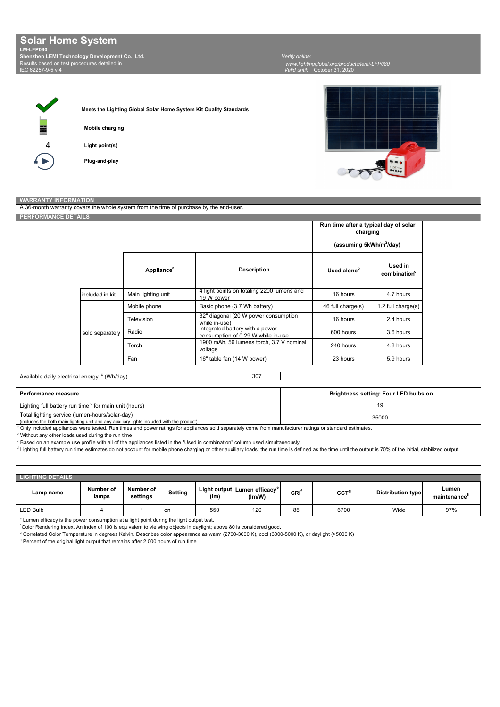Results based on test procedures detailed in  $0.5 \times 4$ **Solar Home System LM-LFP080 Shenzhen LEMI Technology Development Co., Ltd.**

**Plug-and-play**

*Valid until:* October 31, 2020  *www.lightingglobal.org/products/lemi-LFP080 Verify online:* 

4

**Light point(s) Mobile charging Meets the Lighting Global Solar Home System Kit Quality Standards** TTT

## A 36-month w **WARRANTY INFORMATION**

| <b>PERFORMANCE DETAILS</b> |                 |                        |                                                                       | Run time after a typical day of solar |                                     |
|----------------------------|-----------------|------------------------|-----------------------------------------------------------------------|---------------------------------------|-------------------------------------|
|                            |                 | charging               |                                                                       |                                       |                                     |
|                            |                 |                        |                                                                       | (assuming 5kWh/m <sup>2</sup> /day)   |                                     |
|                            |                 | Appliance <sup>a</sup> | <b>Description</b>                                                    | Used alone <sup>b</sup>               | Used in<br>combination <sup>c</sup> |
|                            | included in kit | Main lighting unit     | 4 light points on totaling 2200 lumens and<br>19 W power              | 16 hours                              | 4.7 hours                           |
|                            |                 | Mobile phone           | Basic phone (3.7 Wh battery)                                          | 46 full charge(s)                     | 1.2 full charge(s)                  |
|                            |                 | Television             | 32" diagonal (20 W power consumption<br>while in-use)                 | 16 hours                              | 2.4 hours                           |
|                            | sold separately | Radio                  | integrated battery with a power<br>consumption of 0.29 W while in-use | 600 hours                             | 3.6 hours                           |
|                            |                 | Torch                  | 1900 mAh, 56 lumens torch, 3.7 V nominal<br>voltage                   | 240 hours                             | 4.8 hours                           |
|                            |                 | Fan                    | 16" table fan (14 W power)                                            | 23 hours                              | 5.9 hours                           |

## Available daily electrical energy <sup>c</sup> (Wh/day)

| <b>Performance measure</b>                                                                                                                             | Brightness setting: Four LED bulbs on |  |  |  |
|--------------------------------------------------------------------------------------------------------------------------------------------------------|---------------------------------------|--|--|--|
| Lighting full battery run time <sup>d</sup> for main unit (hours)                                                                                      |                                       |  |  |  |
| Total lighting service (lumen-hours/solar-day)<br>35000                                                                                                |                                       |  |  |  |
| (includes the both main lighting unit and any auxiliary lights included with the product)                                                              |                                       |  |  |  |
| Only included appliances were tested. Run times and power ratings for appliances sold separately come from manufacturer ratings or standard estimates. |                                       |  |  |  |

**b** Without any other loads used during the run time

<sup>c</sup> Based on an example use profile with all of the appliances listed in the "Used in combination" column used simultaneously.

<sup>d</sup> Lighting full battery run time estimates do not account for mobile phone charging or other auxiliary loads; the run time is defined as the time until the output is 70% of the initial, stabilized output.

| <b>LIGHTING DETAILS</b> |                    |                       |         |      |                                                    |         |                  |                          |                       |
|-------------------------|--------------------|-----------------------|---------|------|----------------------------------------------------|---------|------------------|--------------------------|-----------------------|
| Lamp name               | Number of<br>lamps | Number of<br>settings | Setting | (lm) | Light output Lumen efficacy <sup>e</sup><br>(Im/W) | $CRI^f$ | CCT <sup>9</sup> | <b>Distribution type</b> | Lumen<br>maintenance" |
| LED Bulb                |                    |                       | on      | 550  | 120                                                | 85      | 6700             | Wide                     | 97%                   |

<sup>e</sup> Lumen efficacy is the power consumption at a light point during the light output test.

f Color Rendering Index. An index of 100 is equivalent to vieiwing objects in daylight; above 80 is considered good.

<sup>g</sup> Correlated Color Temperature in degrees Kelvin. Describes color appearance as warm (2700-3000 K), cool (3000-5000 K), or daylight (>5000 K)

h Percent of the original light output that remains after 2,000 hours of run time